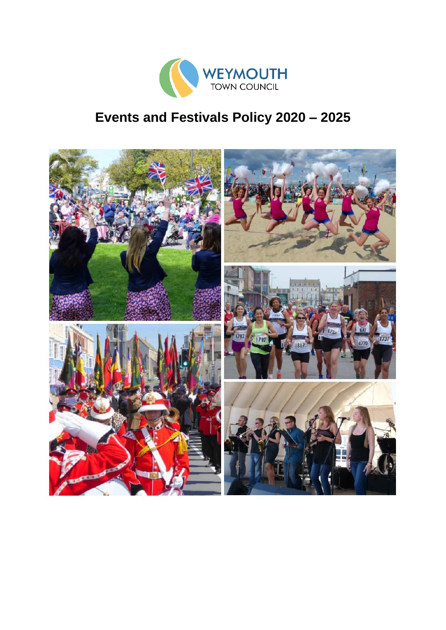

# **Events and Festivals Policy 2020 – 2025**

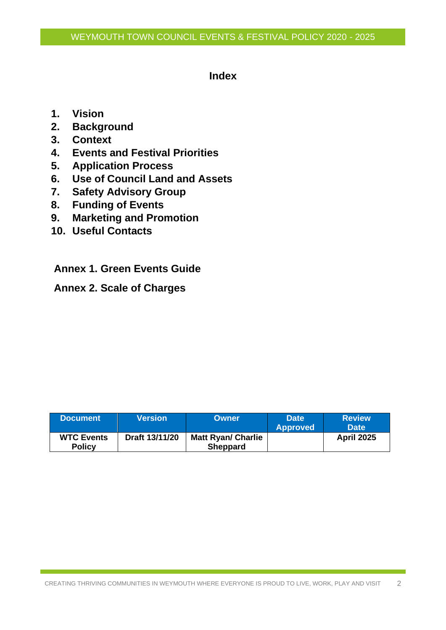# **Index**

- **1. Vision**
- **2. Background**
- **3. Context**
- **4. Events and Festival Priorities**
- **5. Application Process**
- **6. Use of Council Land and Assets**
- **7. Safety Advisory Group**
- **8. Funding of Events**
- **9. Marketing and Promotion**
- **10. Useful Contacts**

**Annex 1. Green Events Guide**

**Annex 2. Scale of Charges**

| <b>Document</b>                    | Version        | <b>Owner</b>                                 | <b>Date</b><br><b>Approved</b> | <b>Review</b><br><b>Date</b> |
|------------------------------------|----------------|----------------------------------------------|--------------------------------|------------------------------|
| <b>WTC Events</b><br><b>Policy</b> | Draft 13/11/20 | <b>Matt Ryan/ Charlie</b><br><b>Sheppard</b> |                                | <b>April 2025</b>            |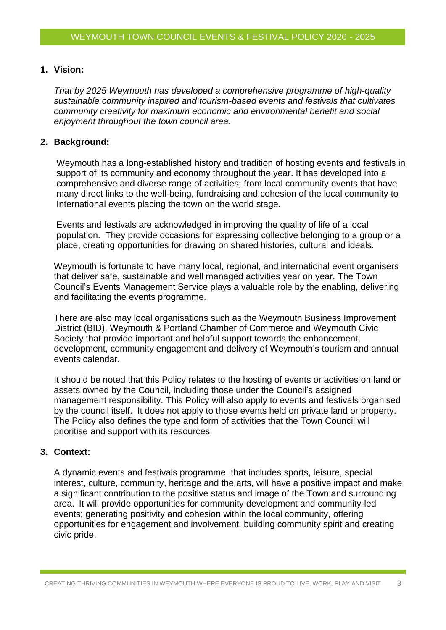#### **1. Vision:**

*That by 2025 Weymouth has developed a comprehensive programme of high-quality sustainable community inspired and tourism-based events and festivals that cultivates community creativity for maximum economic and environmental benefit and social enjoyment throughout the town council area*.

#### **2. Background:**

Weymouth has a long-established history and tradition of hosting events and festivals in support of its community and economy throughout the year. It has developed into a comprehensive and diverse range of activities; from local community events that have many direct links to the well-being, fundraising and cohesion of the local community to International events placing the town on the world stage.

Events and festivals are acknowledged in improving the quality of life of a local population. They provide occasions for expressing collective belonging to a group or a place, creating opportunities for drawing on shared histories, cultural and ideals.

Weymouth is fortunate to have many local, regional, and international event organisers that deliver safe, sustainable and well managed activities year on year. The Town Council's Events Management Service plays a valuable role by the enabling, delivering and facilitating the events programme.

There are also may local organisations such as the Weymouth Business Improvement District (BID), Weymouth & Portland Chamber of Commerce and Weymouth Civic Society that provide important and helpful support towards the enhancement, development, community engagement and delivery of Weymouth's tourism and annual events calendar.

It should be noted that this Policy relates to the hosting of events or activities on land or assets owned by the Council, including those under the Council's assigned management responsibility. This Policy will also apply to events and festivals organised by the council itself. It does not apply to those events held on private land or property. The Policy also defines the type and form of activities that the Town Council will prioritise and support with its resources.

# **3. Context:**

A dynamic events and festivals programme, that includes sports, leisure, special interest, culture, community, heritage and the arts, will have a positive impact and make a significant contribution to the positive status and image of the Town and surrounding area. It will provide opportunities for community development and community-led events; generating positivity and cohesion within the local community, offering opportunities for engagement and involvement; building community spirit and creating civic pride.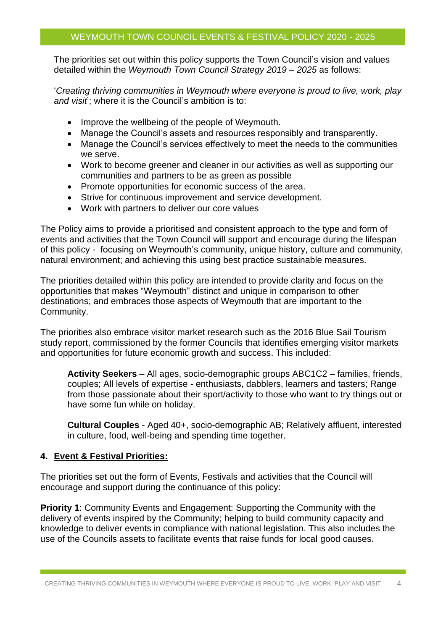The priorities set out within this policy supports the Town Council's vision and values detailed within the *Weymouth Town Council Strategy 2019 – 2025* as follows:

'*Creating thriving communities in Weymouth where everyone is proud to live, work, play and visit*'; where it is the Council's ambition is to:

- Improve the wellbeing of the people of Weymouth.
- Manage the Council's assets and resources responsibly and transparently.
- Manage the Council's services effectively to meet the needs to the communities we serve.
- Work to become greener and cleaner in our activities as well as supporting our communities and partners to be as green as possible
- Promote opportunities for economic success of the area.
- Strive for continuous improvement and service development.
- Work with partners to deliver our core values

The Policy aims to provide a prioritised and consistent approach to the type and form of events and activities that the Town Council will support and encourage during the lifespan of this policy - focusing on Weymouth's community, unique history, culture and community, natural environment; and achieving this using best practice sustainable measures.

The priorities detailed within this policy are intended to provide clarity and focus on the opportunities that makes "Weymouth" distinct and unique in comparison to other destinations; and embraces those aspects of Weymouth that are important to the Community.

The priorities also embrace visitor market research such as the 2016 Blue Sail Tourism study report, commissioned by the former Councils that identifies emerging visitor markets and opportunities for future economic growth and success. This included:

**Activity Seekers** – All ages, socio-demographic groups ABC1C2 – families, friends, couples; All levels of expertise - enthusiasts, dabblers, learners and tasters; Range from those passionate about their sport/activity to those who want to try things out or have some fun while on holiday.

**Cultural Couples** - Aged 40+, socio-demographic AB; Relatively affluent, interested in culture, food, well-being and spending time together.

#### **4. Event & Festival Priorities:**

The priorities set out the form of Events, Festivals and activities that the Council will encourage and support during the continuance of this policy:

**Priority 1**: Community Events and Engagement: Supporting the Community with the delivery of events inspired by the Community; helping to build community capacity and knowledge to deliver events in compliance with national legislation. This also includes the use of the Councils assets to facilitate events that raise funds for local good causes.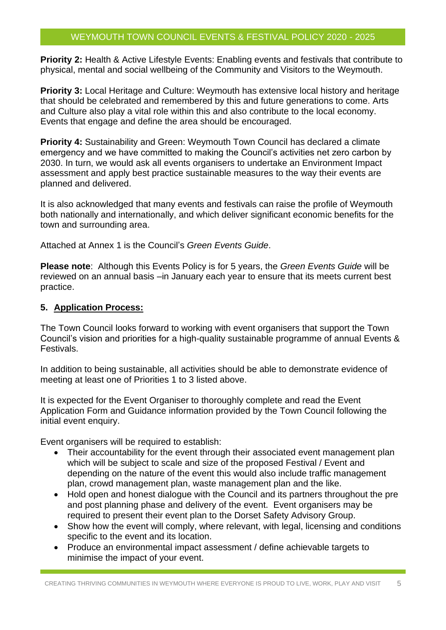# WEYMOUTH TOWN COUNCIL EVENTS & FESTIVAL POLICY 2020 - 2025

**Priority 2:** Health & Active Lifestyle Events: Enabling events and festivals that contribute to physical, mental and social wellbeing of the Community and Visitors to the Weymouth.

**Priority 3:** Local Heritage and Culture: Weymouth has extensive local history and heritage that should be celebrated and remembered by this and future generations to come. Arts and Culture also play a vital role within this and also contribute to the local economy. Events that engage and define the area should be encouraged.

**Priority 4:** Sustainability and Green: Weymouth Town Council has declared a climate emergency and we have committed to making the Council's activities net zero carbon by 2030. In turn, we would ask all events organisers to undertake an Environment Impact assessment and apply best practice sustainable measures to the way their events are planned and delivered.

It is also acknowledged that many events and festivals can raise the profile of Weymouth both nationally and internationally, and which deliver significant economic benefits for the town and surrounding area.

Attached at Annex 1 is the Council's *Green Events Guide*.

**Please note**: Although this Events Policy is for 5 years, the *Green Events Guide* will be reviewed on an annual basis –in January each year to ensure that its meets current best practice.

#### **5. Application Process:**

The Town Council looks forward to working with event organisers that support the Town Council's vision and priorities for a high-quality sustainable programme of annual Events & Festivals.

In addition to being sustainable, all activities should be able to demonstrate evidence of meeting at least one of Priorities 1 to 3 listed above.

It is expected for the Event Organiser to thoroughly complete and read the Event Application Form and Guidance information provided by the Town Council following the initial event enquiry.

Event organisers will be required to establish:

- Their accountability for the event through their associated event management plan which will be subject to scale and size of the proposed Festival / Event and depending on the nature of the event this would also include traffic management plan, crowd management plan, waste management plan and the like.
- Hold open and honest dialogue with the Council and its partners throughout the pre and post planning phase and delivery of the event. Event organisers may be required to present their event plan to the Dorset Safety Advisory Group.
- Show how the event will comply, where relevant, with legal, licensing and conditions specific to the event and its location.
- Produce an environmental impact assessment / define achievable targets to minimise the impact of your event.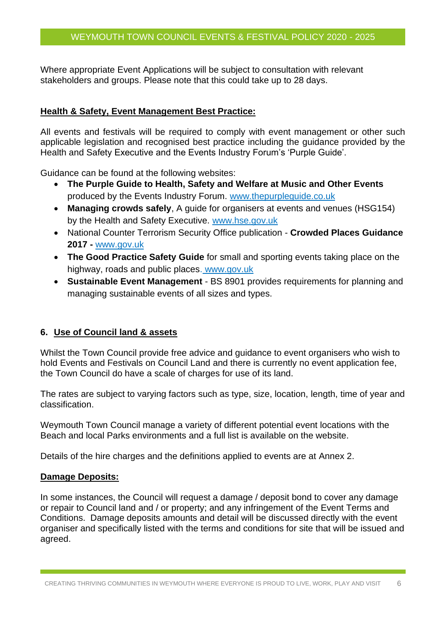# WEYMOUTH TOWN COUNCIL EVENTS & FESTIVAL POLICY 2020 - 2025

Where appropriate Event Applications will be subject to consultation with relevant stakeholders and groups. Please note that this could take up to 28 days.

#### **Health & Safety, Event Management Best Practice:**

All events and festivals will be required to comply with event management or other such applicable legislation and recognised best practice including the guidance provided by the Health and Safety Executive and the Events Industry Forum's 'Purple Guide'.

Guidance can be found at the following websites:

- **The Purple Guide to Health, Safety and Welfare at Music and Other Events** produced by the Events Industry Forum. [www.thepurpleguide.co.uk](http://www.thepurpleguide.co.uk/)
- **Managing crowds safely**, A guide for organisers at events and venues (HSG154) by the Health and Safety Executive. [www.hse.gov.uk](http://www.hse.gov.uk/)
- National Counter Terrorism Security Office publication **Crowded Places Guidance 2017 -** [www.gov.uk](http://www.gov.uk/)
- **The Good Practice Safety Guide** for small and sporting events taking place on the highway, roads and public places. [www.gov.uk](http://www.gov.uk/)
- **Sustainable Event Management** BS 8901 provides requirements for planning and managing sustainable events of all sizes and types.

# **6. Use of Council land & assets**

Whilst the Town Council provide free advice and guidance to event organisers who wish to hold Events and Festivals on Council Land and there is currently no event application fee, the Town Council do have a scale of charges for use of its land.

The rates are subject to varying factors such as type, size, location, length, time of year and classification.

Weymouth Town Council manage a variety of different potential event locations with the Beach and local Parks environments and a full list is available on the website.

Details of the hire charges and the definitions applied to events are at Annex 2.

#### **Damage Deposits:**

In some instances, the Council will request a damage / deposit bond to cover any damage or repair to Council land and / or property; and any infringement of the Event Terms and Conditions. Damage deposits amounts and detail will be discussed directly with the event organiser and specifically listed with the terms and conditions for site that will be issued and agreed.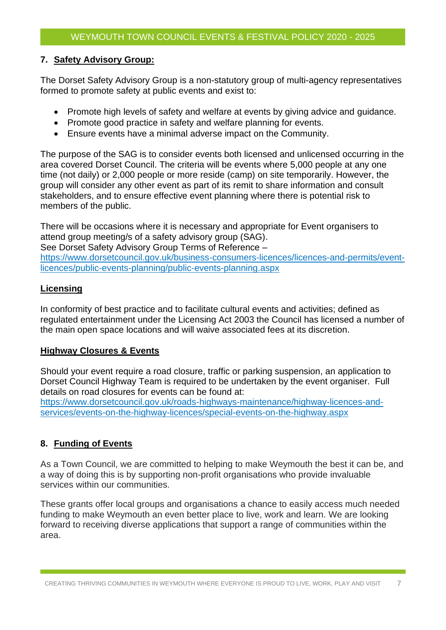#### **7. Safety Advisory Group:**

The Dorset Safety Advisory Group is a non-statutory group of multi-agency representatives formed to promote safety at public events and exist to:

- Promote high levels of safety and welfare at events by giving advice and guidance.
- Promote good practice in safety and welfare planning for events.
- Ensure events have a minimal adverse impact on the Community.

The purpose of the SAG is to consider events both licensed and unlicensed occurring in the area covered Dorset Council. The criteria will be events where 5,000 people at any one time (not daily) or 2,000 people or more reside (camp) on site temporarily. However, the group will consider any other event as part of its remit to share information and consult stakeholders, and to ensure effective event planning where there is potential risk to members of the public.

There will be occasions where it is necessary and appropriate for Event organisers to attend group meeting/s of a safety advisory group (SAG). See Dorset Safety Advisory Group Terms of Reference –

[https://www.dorsetcouncil.gov.uk/business-consumers-licences/licences-and-permits/event](https://www.dorsetcouncil.gov.uk/business-consumers-licences/licences-and-permits/event-licences/public-events-planning/public-events-planning.aspx)[licences/public-events-planning/public-events-planning.aspx](https://www.dorsetcouncil.gov.uk/business-consumers-licences/licences-and-permits/event-licences/public-events-planning/public-events-planning.aspx)

#### **Licensing**

In conformity of best practice and to facilitate cultural events and activities; defined as regulated entertainment under the Licensing Act 2003 the Council has licensed a number of the main open space locations and will waive associated fees at its discretion.

# **Highway Closures & Events**

Should your event require a road closure, traffic or parking suspension, an application to Dorset Council Highway Team is required to be undertaken by the event organiser. Full details on road closures for events can be found at:

[https://www.dorsetcouncil.gov.uk/roads-highways-maintenance/highway-licences-and](https://www.dorsetcouncil.gov.uk/roads-highways-maintenance/highway-licences-and-services/events-on-the-highway-licences/special-events-on-the-highway.aspx)[services/events-on-the-highway-licences/special-events-on-the-highway.aspx](https://www.dorsetcouncil.gov.uk/roads-highways-maintenance/highway-licences-and-services/events-on-the-highway-licences/special-events-on-the-highway.aspx)

# **8. Funding of Events**

As a Town Council, we are committed to helping to make Weymouth the best it can be, and a way of doing this is by supporting non-profit organisations who provide invaluable services within our communities.

These grants offer local groups and organisations a chance to easily access much needed funding to make Weymouth an even better place to live, work and learn. We are looking forward to receiving diverse applications that support a range of communities within the area.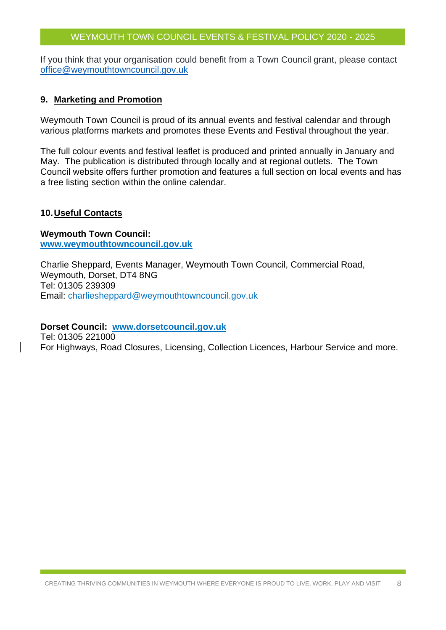#### WEYMOUTH TOWN COUNCIL EVENTS & FESTIVAL POLICY 2020 - 2025

If you think that your organisation could benefit from a Town Council grant, please contact [office@weymouthtowncouncil.gov.uk](mailto:office@weymouthtowncouncil.gov.uk)

#### **9. Marketing and Promotion**

Weymouth Town Council is proud of its annual events and festival calendar and through various platforms markets and promotes these Events and Festival throughout the year.

The full colour events and festival leaflet is produced and printed annually in January and May. The publication is distributed through locally and at regional outlets. The Town Council website offers further promotion and features a full section on local events and has a free listing section within the online calendar.

#### **10.Useful Contacts**

**Weymouth Town Council: [www.weymouthtowncouncil.gov.uk](http://www.weymouthtowncouncil.gov.uk/)**

Charlie Sheppard, Events Manager, Weymouth Town Council, Commercial Road, Weymouth, Dorset, DT4 8NG Tel: 01305 239309 Email: [charliesheppard@weymouthtowncouncil.gov.uk](mailto:charliesheppard@weymouthtowncouncil.gov.uk)

#### **Dorset Council: [www.dorsetcouncil.gov.uk](http://www.dorsetcouncil.gov.uk/)**

Tel: 01305 221000 For Highways, Road Closures, Licensing, Collection Licences, Harbour Service and more.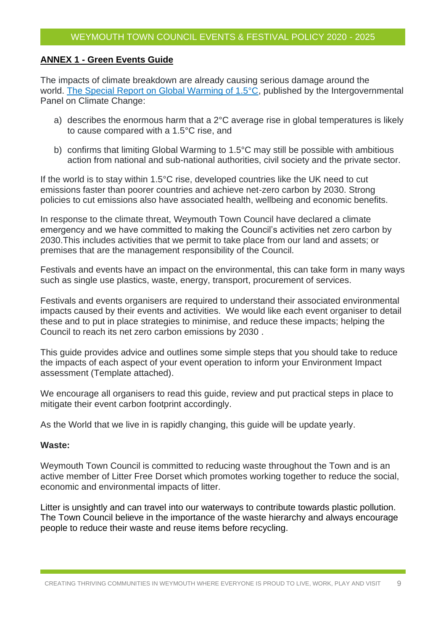#### **ANNEX 1 - Green Events Guide**

The impacts of climate breakdown are already causing serious damage around the world. [The Special Report on Global Warming of 1.5°C,](https://www.ipcc.ch/sr15/) published by the Intergovernmental Panel on Climate Change:

- a) describes the enormous harm that a 2°C average rise in global temperatures is likely to cause compared with a 1.5°C rise, and
- b) confirms that limiting Global Warming to 1.5°C may still be possible with ambitious action from national and sub-national authorities, civil society and the private sector.

If the world is to stay within 1.5°C rise, developed countries like the UK need to cut emissions faster than poorer countries and achieve net-zero carbon by 2030. Strong policies to cut emissions also have associated health, wellbeing and economic benefits.

In response to the climate threat, Weymouth Town Council have declared a climate emergency and we have committed to making the Council's activities net zero carbon by 2030.This includes activities that we permit to take place from our land and assets; or premises that are the management responsibility of the Council.

Festivals and events have an impact on the environmental, this can take form in many ways such as single use plastics, waste, energy, transport, procurement of services.

Festivals and events organisers are required to understand their associated environmental impacts caused by their events and activities. We would like each event organiser to detail these and to put in place strategies to minimise, and reduce these impacts; helping the Council to reach its net zero carbon emissions by 2030 .

This guide provides advice and outlines some simple steps that you should take to reduce the impacts of each aspect of your event operation to inform your Environment Impact assessment (Template attached).

We encourage all organisers to read this guide, review and put practical steps in place to mitigate their event carbon footprint accordingly.

As the World that we live in is rapidly changing, this guide will be update yearly.

#### **Waste:**

Weymouth Town Council is committed to reducing waste throughout the Town and is an active member of Litter Free Dorset which promotes working together to reduce the social, economic and environmental impacts of litter.

Litter is unsightly and can travel into our waterways to contribute towards plastic pollution. The Town Council believe in the importance of the waste hierarchy and always encourage people to reduce their waste and reuse items before recycling.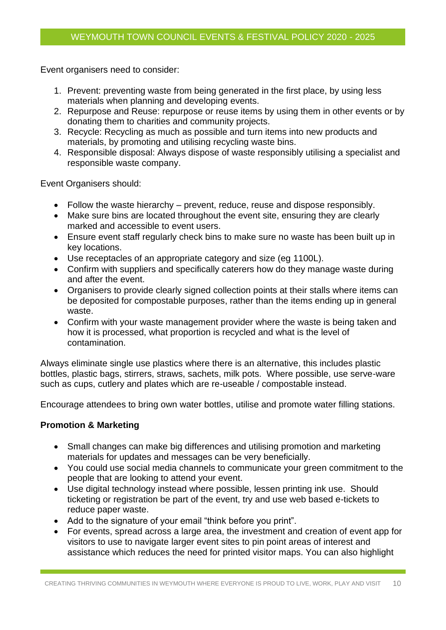Event organisers need to consider:

- 1. Prevent: preventing waste from being generated in the first place, by using less materials when planning and developing events.
- 2. Repurpose and Reuse: repurpose or reuse items by using them in other events or by donating them to charities and community projects.
- 3. Recycle: Recycling as much as possible and turn items into new products and materials, by promoting and utilising recycling waste bins.
- 4. Responsible disposal: Always dispose of waste responsibly utilising a specialist and responsible waste company.

Event Organisers should:

- Follow the waste hierarchy prevent, reduce, reuse and dispose responsibly.
- Make sure bins are located throughout the event site, ensuring they are clearly marked and accessible to event users.
- Ensure event staff regularly check bins to make sure no waste has been built up in key locations.
- Use receptacles of an appropriate category and size (eg 1100L).
- Confirm with suppliers and specifically caterers how do they manage waste during and after the event.
- Organisers to provide clearly signed collection points at their stalls where items can be deposited for compostable purposes, rather than the items ending up in general waste.
- Confirm with your waste management provider where the waste is being taken and how it is processed, what proportion is recycled and what is the level of contamination.

Always eliminate single use plastics where there is an alternative, this includes plastic bottles, plastic bags, stirrers, straws, sachets, milk pots. Where possible, use serve-ware such as cups, cutlery and plates which are re-useable / compostable instead.

Encourage attendees to bring own water bottles, utilise and promote water filling stations.

#### **Promotion & Marketing**

- Small changes can make big differences and utilising promotion and marketing materials for updates and messages can be very beneficially.
- You could use social media channels to communicate your green commitment to the people that are looking to attend your event.
- Use digital technology instead where possible, lessen printing ink use. Should ticketing or registration be part of the event, try and use web based e-tickets to reduce paper waste.
- Add to the signature of your email "think before you print".
- For events, spread across a large area, the investment and creation of event app for visitors to use to navigate larger event sites to pin point areas of interest and assistance which reduces the need for printed visitor maps. You can also highlight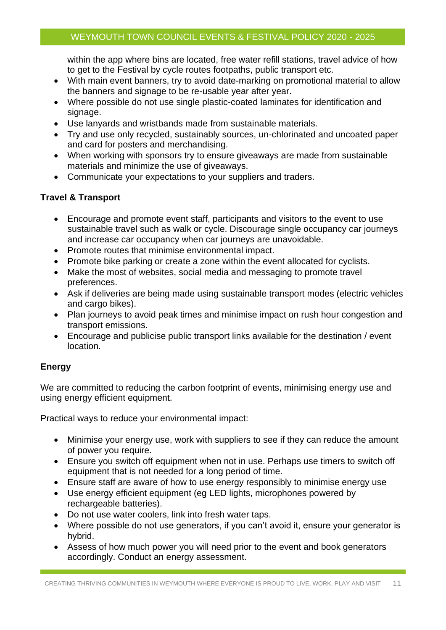within the app where bins are located, free water refill stations, travel advice of how to get to the Festival by cycle routes footpaths, public transport etc.

- With main event banners, try to avoid date-marking on promotional material to allow the banners and signage to be re-usable year after year.
- Where possible do not use single plastic-coated laminates for identification and signage.
- Use lanyards and wristbands made from sustainable materials.
- Try and use only recycled, sustainably sources, un-chlorinated and uncoated paper and card for posters and merchandising.
- When working with sponsors try to ensure giveaways are made from sustainable materials and minimize the use of giveaways.
- Communicate your expectations to your suppliers and traders.

#### **Travel & Transport**

- Encourage and promote event staff, participants and visitors to the event to use sustainable travel such as walk or cycle. Discourage single occupancy car journeys and increase car occupancy when car journeys are unavoidable.
- Promote routes that minimise environmental impact.
- Promote bike parking or create a zone within the event allocated for cyclists.
- Make the most of websites, social media and messaging to promote travel preferences.
- Ask if deliveries are being made using sustainable transport modes (electric vehicles and cargo bikes).
- Plan journeys to avoid peak times and minimise impact on rush hour congestion and transport emissions.
- Encourage and publicise public transport links available for the destination / event location.

# **Energy**

We are committed to reducing the carbon footprint of events, minimising energy use and using energy efficient equipment.

Practical ways to reduce your environmental impact:

- Minimise your energy use, work with suppliers to see if they can reduce the amount of power you require.
- Ensure you switch off equipment when not in use. Perhaps use timers to switch off equipment that is not needed for a long period of time.
- Ensure staff are aware of how to use energy responsibly to minimise energy use
- Use energy efficient equipment (eg LED lights, microphones powered by rechargeable batteries).
- Do not use water coolers, link into fresh water taps.
- Where possible do not use generators, if you can't avoid it, ensure your generator is hybrid.
- Assess of how much power you will need prior to the event and book generators accordingly. Conduct an energy assessment.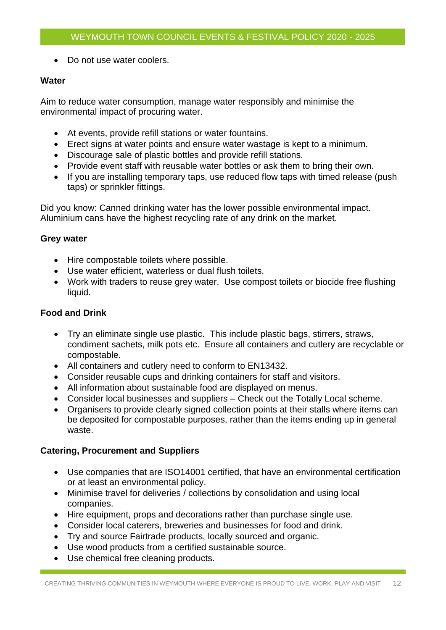• Do not use water coolers.

#### **Water**

Aim to reduce water consumption, manage water responsibly and minimise the environmental impact of procuring water.

- At events, provide refill stations or water fountains.
- Erect signs at water points and ensure water wastage is kept to a minimum.
- Discourage sale of plastic bottles and provide refill stations.
- Provide event staff with reusable water bottles or ask them to bring their own.
- If you are installing temporary taps, use reduced flow taps with timed release (push taps) or sprinkler fittings.

Did you know: Canned drinking water has the lower possible environmental impact. Aluminium cans have the highest recycling rate of any drink on the market.

#### **Grey water**

- Hire compostable toilets where possible.
- Use water efficient, waterless or dual flush toilets.
- Work with traders to reuse grey water. Use compost toilets or biocide free flushing liquid.

### **Food and Drink**

- Try an eliminate single use plastic. This include plastic bags, stirrers, straws, condiment sachets, milk pots etc. Ensure all containers and cutlery are recyclable or compostable.
- All containers and cutlery need to conform to EN13432.
- Consider reusable cups and drinking containers for staff and visitors.
- All information about sustainable food are displayed on menus.
- Consider local businesses and suppliers Check out the Totally Local scheme.
- Organisers to provide clearly signed collection points at their stalls where items can be deposited for compostable purposes, rather than the items ending up in general waste.

# **Catering, Procurement and Suppliers**

- Use companies that are ISO14001 certified, that have an environmental certification or at least an environmental policy.
- Minimise travel for deliveries / collections by consolidation and using local companies.
- Hire equipment, props and decorations rather than purchase single use.
- Consider local caterers, breweries and businesses for food and drink.
- Try and source Fairtrade products, locally sourced and organic.
- Use wood products from a certified sustainable source.
- Use chemical free cleaning products.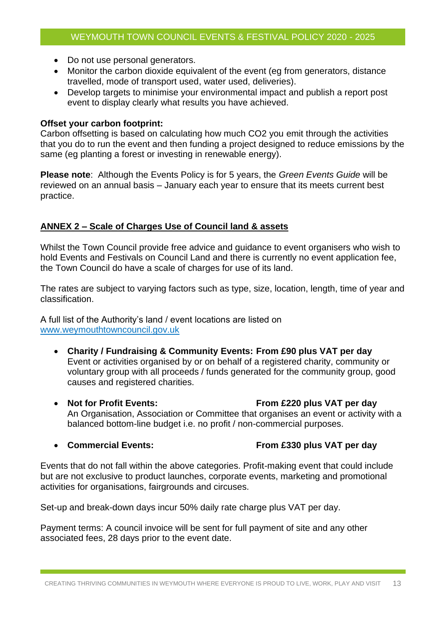- Do not use personal generators.
- Monitor the carbon dioxide equivalent of the event (eg from generators, distance travelled, mode of transport used, water used, deliveries).
- Develop targets to minimise your environmental impact and publish a report post event to display clearly what results you have achieved.

#### **Offset your carbon footprint:**

Carbon offsetting is based on calculating how much CO2 you emit through the activities that you do to run the event and then funding a project designed to reduce emissions by the same (eg planting a forest or investing in renewable energy).

**Please note**: Although the Events Policy is for 5 years, the *Green Events Guide* will be reviewed on an annual basis – January each year to ensure that its meets current best practice.

#### **ANNEX 2 – Scale of Charges Use of Council land & assets**

Whilst the Town Council provide free advice and guidance to event organisers who wish to hold Events and Festivals on Council Land and there is currently no event application fee, the Town Council do have a scale of charges for use of its land.

The rates are subject to varying factors such as type, size, location, length, time of year and classification.

A full list of the Authority's land / event locations are listed on [www.weymouthtowncouncil.gov.uk](http://www.weymouthtowncouncil.gov.uk/)

- **Charity / Fundraising & Community Events: From £90 plus VAT per day** Event or activities organised by or on behalf of a registered charity, community or voluntary group with all proceeds / funds generated for the community group, good causes and registered charities.
- **Not for Profit Events: From £220 plus VAT per day** An Organisation, Association or Committee that organises an event or activity with a balanced bottom-line budget i.e. no profit / non-commercial purposes.
- 

#### • **Commercial Events: From £330 plus VAT per day**

Events that do not fall within the above categories. Profit-making event that could include but are not exclusive to product launches, corporate events, marketing and promotional activities for organisations, fairgrounds and circuses.

Set-up and break-down days incur 50% daily rate charge plus VAT per day.

Payment terms: A council invoice will be sent for full payment of site and any other associated fees, 28 days prior to the event date.